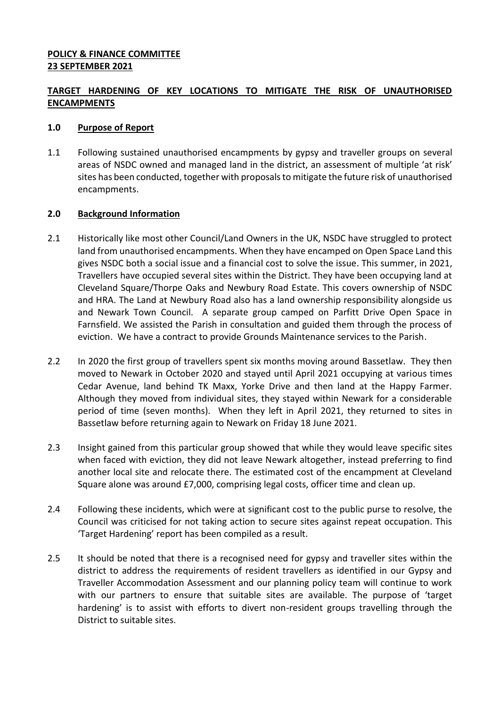#### **POLICY & FINANCE COMMITTEE 23 SEPTEMBER 2021**

## **TARGET HARDENING OF KEY LOCATIONS TO MITIGATE THE RISK OF UNAUTHORISED ENCAMPMENTS**

#### **1.0 Purpose of Report**

1.1 Following sustained unauthorised encampments by gypsy and traveller groups on several areas of NSDC owned and managed land in the district, an assessment of multiple 'at risk' sites has been conducted, together with proposals to mitigate the future risk of unauthorised encampments.

#### **2.0 Background Information**

- 2.1 Historically like most other Council/Land Owners in the UK, NSDC have struggled to protect land from unauthorised encampments. When they have encamped on Open Space Land this gives NSDC both a social issue and a financial cost to solve the issue. This summer, in 2021, Travellers have occupied several sites within the District. They have been occupying land at Cleveland Square/Thorpe Oaks and Newbury Road Estate. This covers ownership of NSDC and HRA. The Land at Newbury Road also has a land ownership responsibility alongside us and Newark Town Council. A separate group camped on Parfitt Drive Open Space in Farnsfield. We assisted the Parish in consultation and guided them through the process of eviction. We have a contract to provide Grounds Maintenance services to the Parish.
- 2.2 In 2020 the first group of travellers spent six months moving around Bassetlaw. They then moved to Newark in October 2020 and stayed until April 2021 occupying at various times Cedar Avenue, land behind TK Maxx, Yorke Drive and then land at the Happy Farmer. Although they moved from individual sites, they stayed within Newark for a considerable period of time (seven months). When they left in April 2021, they returned to sites in Bassetlaw before returning again to Newark on Friday 18 June 2021.
- 2.3 Insight gained from this particular group showed that while they would leave specific sites when faced with eviction, they did not leave Newark altogether, instead preferring to find another local site and relocate there. The estimated cost of the encampment at Cleveland Square alone was around £7,000, comprising legal costs, officer time and clean up.
- 2.4 Following these incidents, which were at significant cost to the public purse to resolve, the Council was criticised for not taking action to secure sites against repeat occupation. This 'Target Hardening' report has been compiled as a result.
- 2.5 It should be noted that there is a recognised need for gypsy and traveller sites within the district to address the requirements of resident travellers as identified in our Gypsy and Traveller Accommodation Assessment and our planning policy team will continue to work with our partners to ensure that suitable sites are available. The purpose of 'target hardening' is to assist with efforts to divert non-resident groups travelling through the District to suitable sites.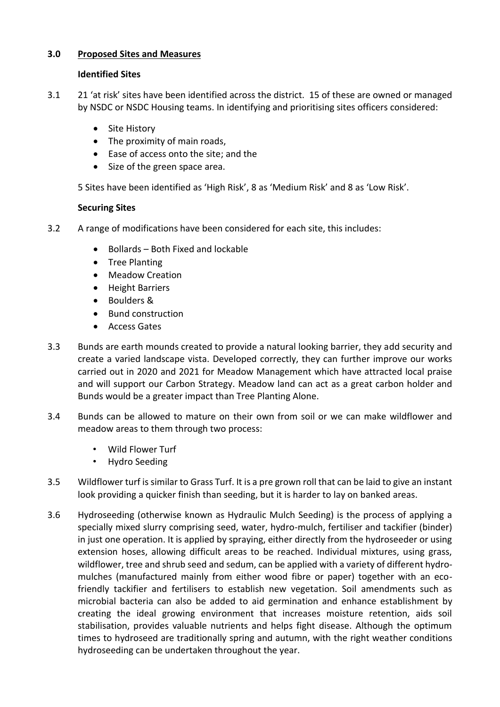## **3.0 Proposed Sites and Measures**

#### **Identified Sites**

- 3.1 21 'at risk' sites have been identified across the district. 15 of these are owned or managed by NSDC or NSDC Housing teams. In identifying and prioritising sites officers considered:
	- Site History
	- The proximity of main roads,
	- Ease of access onto the site; and the
	- Size of the green space area.

5 Sites have been identified as 'High Risk', 8 as 'Medium Risk' and 8 as 'Low Risk'.

#### **Securing Sites**

- 3.2 A range of modifications have been considered for each site, this includes:
	- $\bullet$  Bollards Both Fixed and lockable
	- Tree Planting
	- Meadow Creation
	- Height Barriers
	- Boulders &
	- Bund construction
	- Access Gates
- 3.3 Bunds are earth mounds created to provide a natural looking barrier, they add security and create a varied landscape vista. Developed correctly, they can further improve our works carried out in 2020 and 2021 for Meadow Management which have attracted local praise and will support our Carbon Strategy. Meadow land can act as a great carbon holder and Bunds would be a greater impact than Tree Planting Alone.
- 3.4 Bunds can be allowed to mature on their own from soil or we can make wildflower and meadow areas to them through two process:
	- Wild Flower Turf
	- Hydro Seeding
- 3.5 Wildflower turf is similar to Grass Turf. It is a pre grown roll that can be laid to give an instant look providing a quicker finish than seeding, but it is harder to lay on banked areas.
- 3.6 Hydroseeding (otherwise known as Hydraulic Mulch Seeding) is the process of applying a specially mixed slurry comprising seed, water, hydro-mulch, fertiliser and tackifier (binder) in just one operation. It is applied by spraying, either directly from the hydroseeder or using extension hoses, allowing difficult areas to be reached. Individual mixtures, using grass, wildflower, tree and shrub seed and sedum, can be applied with a variety of different hydromulches (manufactured mainly from either wood fibre or paper) together with an ecofriendly tackifier and fertilisers to establish new vegetation. Soil amendments such as microbial bacteria can also be added to aid germination and enhance establishment by creating the ideal growing environment that increases moisture retention, aids soil stabilisation, provides valuable nutrients and helps fight disease. Although the optimum times to hydroseed are traditionally spring and autumn, with the right weather conditions hydroseeding can be undertaken throughout the year.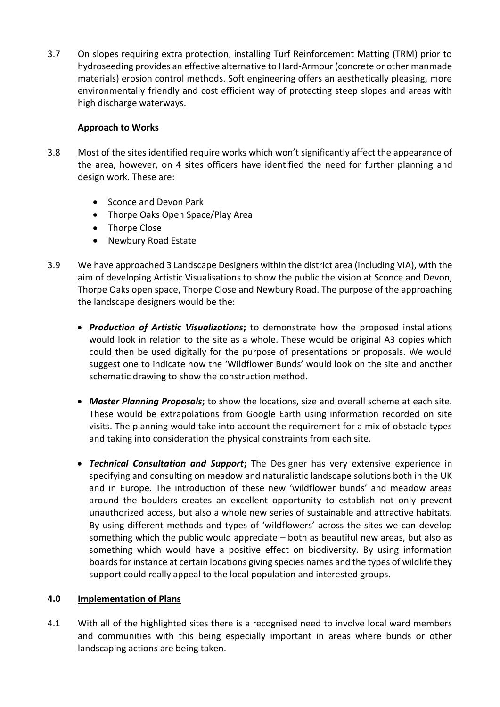3.7 On slopes requiring extra protection, installing Turf Reinforcement Matting (TRM) prior to hydroseeding provides an effective alternative to Hard-Armour (concrete or other manmade materials) erosion control methods. Soft engineering offers an aesthetically pleasing, more environmentally friendly and cost efficient way of protecting steep slopes and areas with high discharge waterways.

# **Approach to Works**

- 3.8 Most of the sites identified require works which won't significantly affect the appearance of the area, however, on 4 sites officers have identified the need for further planning and design work. These are:
	- Sconce and Devon Park
	- Thorpe Oaks Open Space/Play Area
	- Thorpe Close
	- Newbury Road Estate
- 3.9 We have approached 3 Landscape Designers within the district area (including VIA), with the aim of developing Artistic Visualisations to show the public the vision at Sconce and Devon, Thorpe Oaks open space, Thorpe Close and Newbury Road. The purpose of the approaching the landscape designers would be the:
	- *Production of Artistic Visualizations***;** to demonstrate how the proposed installations would look in relation to the site as a whole. These would be original A3 copies which could then be used digitally for the purpose of presentations or proposals. We would suggest one to indicate how the 'Wildflower Bunds' would look on the site and another schematic drawing to show the construction method.
	- *Master Planning Proposals***;** to show the locations, size and overall scheme at each site. These would be extrapolations from Google Earth using information recorded on site visits. The planning would take into account the requirement for a mix of obstacle types and taking into consideration the physical constraints from each site.
	- *Technical Consultation and Support***;** The Designer has very extensive experience in specifying and consulting on meadow and naturalistic landscape solutions both in the UK and in Europe. The introduction of these new 'wildflower bunds' and meadow areas around the boulders creates an excellent opportunity to establish not only prevent unauthorized access, but also a whole new series of sustainable and attractive habitats. By using different methods and types of 'wildflowers' across the sites we can develop something which the public would appreciate – both as beautiful new areas, but also as something which would have a positive effect on biodiversity. By using information boards for instance at certain locations giving species names and the types of wildlife they support could really appeal to the local population and interested groups.

## **4.0 Implementation of Plans**

4.1 With all of the highlighted sites there is a recognised need to involve local ward members and communities with this being especially important in areas where bunds or other landscaping actions are being taken.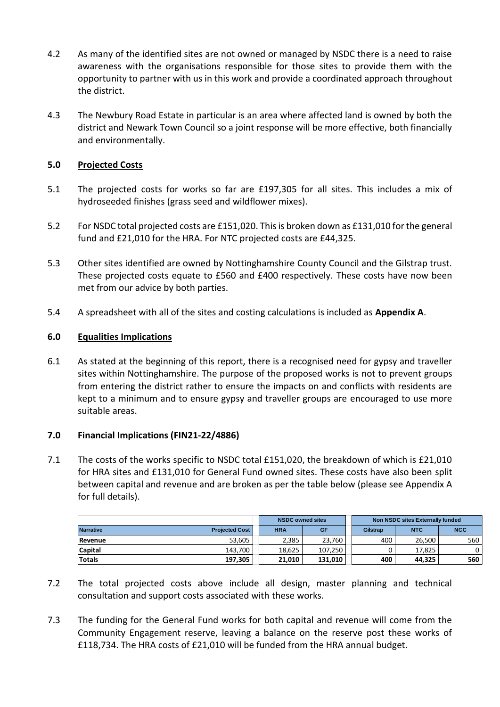- 4.2 As many of the identified sites are not owned or managed by NSDC there is a need to raise awareness with the organisations responsible for those sites to provide them with the opportunity to partner with us in this work and provide a coordinated approach throughout the district.
- 4.3 The Newbury Road Estate in particular is an area where affected land is owned by both the district and Newark Town Council so a joint response will be more effective, both financially and environmentally.

# **5.0 Projected Costs**

- 5.1 The projected costs for works so far are £197,305 for all sites. This includes a mix of hydroseeded finishes (grass seed and wildflower mixes).
- 5.2 For NSDC total projected costs are £151,020. This is broken down as £131,010 for the general fund and £21,010 for the HRA. For NTC projected costs are £44,325.
- 5.3 Other sites identified are owned by Nottinghamshire County Council and the Gilstrap trust. These projected costs equate to £560 and £400 respectively. These costs have now been met from our advice by both parties.
- 5.4 A spreadsheet with all of the sites and costing calculations is included as **Appendix A**.

## **6.0 Equalities Implications**

6.1 As stated at the beginning of this report, there is a recognised need for gypsy and traveller sites within Nottinghamshire. The purpose of the proposed works is not to prevent groups from entering the district rather to ensure the impacts on and conflicts with residents are kept to a minimum and to ensure gypsy and traveller groups are encouraged to use more suitable areas.

## **7.0 Financial Implications (FIN21-22/4886)**

7.1 The costs of the works specific to NSDC total £151,020, the breakdown of which is £21,010 for HRA sites and £131,010 for General Fund owned sites. These costs have also been split between capital and revenue and are broken as per the table below (please see Appendix A for full details).

|                  |                       | <b>NSDC owned sites</b> |           | Non NSDC sites Externally funded |            |            |
|------------------|-----------------------|-------------------------|-----------|----------------------------------|------------|------------|
| <b>Narrative</b> | <b>Projected Cost</b> | <b>HRA</b>              | <b>GF</b> | <b>Gilstrap</b>                  | <b>NTC</b> | <b>NCC</b> |
| <b>Revenue</b>   | 53,605                | 2.385                   | 23,760    | 400                              | 26,500     | 560        |
| <b>Capital</b>   | 143.700               | 18.625                  | 107.250   |                                  | 17.825     | 0          |
| Totals           | 197,305               | 21,010                  | 131,010   | 400                              | 44,325     | 560        |

- 7.2 The total projected costs above include all design, master planning and technical consultation and support costs associated with these works.
- 7.3 The funding for the General Fund works for both capital and revenue will come from the Community Engagement reserve, leaving a balance on the reserve post these works of £118,734. The HRA costs of £21,010 will be funded from the HRA annual budget.